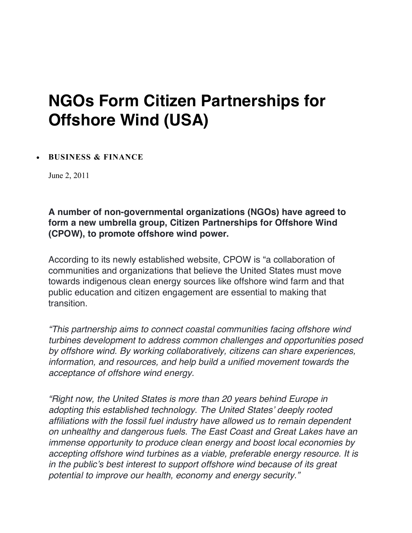## **NGOs Form Citizen Partnerships for Offshore Wind (USA)**

## • **BUSINESS & FINANCE**

June 2, 2011

**A number of non-governmental organizations (NGOs) have agreed to form a new umbrella group, Citizen Partnerships for Offshore Wind (CPOW), to promote offshore wind power.**

According to its newly established website, CPOW is "a collaboration of communities and organizations that believe the United States must move towards indigenous clean energy sources like offshore wind farm and that public education and citizen engagement are essential to making that transition.

*"This partnership aims to connect coastal communities facing offshore wind turbines development to address common challenges and opportunities posed by offshore wind. By working collaboratively, citizens can share experiences, information, and resources, and help build a unified movement towards the acceptance of offshore wind energy.*

*"Right now, the United States is more than 20 years behind Europe in adopting this established technology. The United States' deeply rooted affiliations with the fossil fuel industry have allowed us to remain dependent on unhealthy and dangerous fuels. The East Coast and Great Lakes have an immense opportunity to produce clean energy and boost local economies by accepting offshore wind turbines as a viable, preferable energy resource. It is in the public's best interest to support offshore wind because of its great potential to improve our health, economy and energy security."*